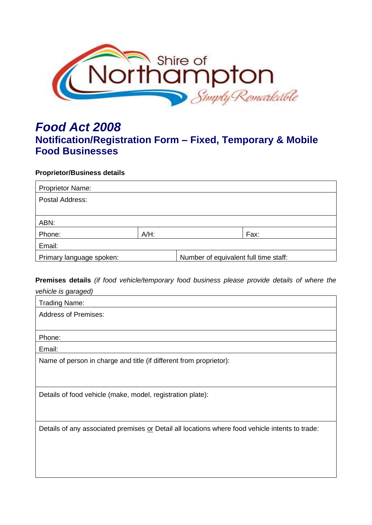

# *Food Act 2008* **Notification/Registration Form – Fixed, Temporary & Mobile Food Businesses**

## **Proprietor/Business details**

| <b>Proprietor Name:</b>  |         |                                       |      |
|--------------------------|---------|---------------------------------------|------|
| Postal Address:          |         |                                       |      |
|                          |         |                                       |      |
| ABN:                     |         |                                       |      |
| Phone:                   | $A/H$ : |                                       | Fax: |
| Email:                   |         |                                       |      |
| Primary language spoken: |         | Number of equivalent full time staff: |      |

## **Premises details** *(if food vehicle/temporary food business please provide details of where the*

| vehicle is garaged)                                                                             |
|-------------------------------------------------------------------------------------------------|
| <b>Trading Name:</b>                                                                            |
| <b>Address of Premises:</b>                                                                     |
|                                                                                                 |
| Phone:                                                                                          |
| Email:                                                                                          |
| Name of person in charge and title (if different from proprietor):                              |
|                                                                                                 |
|                                                                                                 |
| Details of food vehicle (make, model, registration plate):                                      |
|                                                                                                 |
|                                                                                                 |
| Details of any associated premises or Detail all locations where food vehicle intents to trade: |
|                                                                                                 |
|                                                                                                 |
|                                                                                                 |
|                                                                                                 |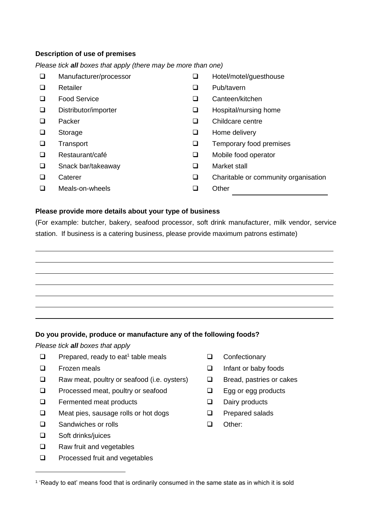## **Description of use of premises**

*Please tick all boxes that apply (there may be more than one)*

- ❑ Manufacturer/processor
- Retailer ❑ ❑
- Food Service ❑ ❑
- Distributor/importer ❑ ❑
- Packer ❑ ❑
- Storage ❑ ❑
- Transport ❑ ❑
- Restaurant/café
- Snack bar/takeaway ❑ ❑ Market stall
- **Caterer**
- ❑ Meals-on-wheels ❑ Other
- ❑ Hotel/motel/guesthouse
- Pub/tavern
- Canteen/kitchen
- Hospital/nursing home
- Childcare centre
- Home delivery
- Temporary food premises
- ❑ ❑ Mobile food operator
	-
- ❑ ❑ Charitable or community organisation
	-

#### **Please provide more details about your type of business**

(For example: butcher, bakery, seafood processor, soft drink manufacturer, milk vendor, service station. If business is a catering business, please provide maximum patrons estimate)

**Do you provide, produce or manufacture any of the following foods?** 

*Please tick all boxes that apply*

- $\Box$  Prepared, ready to eat<sup>1</sup> table meals
- Frozen meals ❑ ❑
- Raw meat, poultry or seafood (i.e. oysters) ❑ ❑
- Processed meat, poultry or seafood ❑ ❑
- Fermented meat products ❑ ❑
- Meat pies, sausage rolls or hot dogs ❑ ❑
- Sandwiches or rolls ❑ ❑
- Soft drinks/juices ❑
- Raw fruit and vegetables ❑
- Processed fruit and vegetables  $\Box$
- ❑ Confectionary
- Infant or baby foods
- Bread, pastries or cakes
- Egg or egg products
- Dairy products
- Prepared salads
- Other:

<sup>1</sup> 'Ready to eat' means food that is ordinarily consumed in the same state as in which it is sold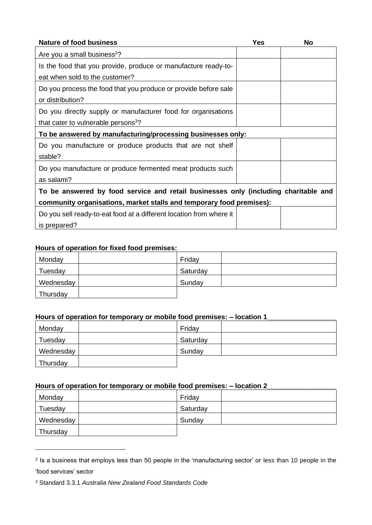| <b>Nature of food business</b>                                                      | <b>Yes</b> | <b>No</b> |  |
|-------------------------------------------------------------------------------------|------------|-----------|--|
| Are you a small business <sup>2</sup> ?                                             |            |           |  |
| Is the food that you provide, produce or manufacture ready-to-                      |            |           |  |
| eat when sold to the customer?                                                      |            |           |  |
| Do you process the food that you produce or provide before sale                     |            |           |  |
| or distribution?                                                                    |            |           |  |
| Do you directly supply or manufacturer food for organisations                       |            |           |  |
| that cater to vulnerable persons <sup>3</sup> ?                                     |            |           |  |
| To be answered by manufacturing/processing businesses only:                         |            |           |  |
| Do you manufacture or produce products that are not shelf                           |            |           |  |
| stable?                                                                             |            |           |  |
| Do you manufacture or produce fermented meat products such                          |            |           |  |
| as salami?                                                                          |            |           |  |
| To be answered by food service and retail businesses only (including charitable and |            |           |  |
| community organisations, market stalls and temporary food premises):                |            |           |  |
| Do you sell ready-to-eat food at a different location from where it                 |            |           |  |
| is prepared?                                                                        |            |           |  |

## **Hours of operation for fixed food premises:**

| Monday    | Friday   |  |
|-----------|----------|--|
| Tuesday   | Saturday |  |
| Wednesday | Sunday   |  |
| Thursday  |          |  |

## **Hours of operation for temporary or mobile food premises: – location 1\_\_\_\_\_\_\_\_\_\_\_\_\_\_\_\_\_\_**

| Monday    | Friday   |
|-----------|----------|
| Tuesday   | Saturday |
| Wednesday | Sunday   |
| Thursday  |          |

## **Hours of operation for temporary or mobile food premises: – location 2\_\_\_\_\_\_\_\_\_\_\_\_\_\_\_\_\_\_**

| Monday    | Friday   |  |
|-----------|----------|--|
| Tuesday   | Saturday |  |
| Wednesday | Sunday   |  |
| Thursday  |          |  |

<sup>2</sup> Is a business that employs less than 50 people in the 'manufacturing sector' or less than 10 people in the 'food services' sector

<sup>3</sup> Standard 3.3.1 *Australia New Zealand Food Standards Code*